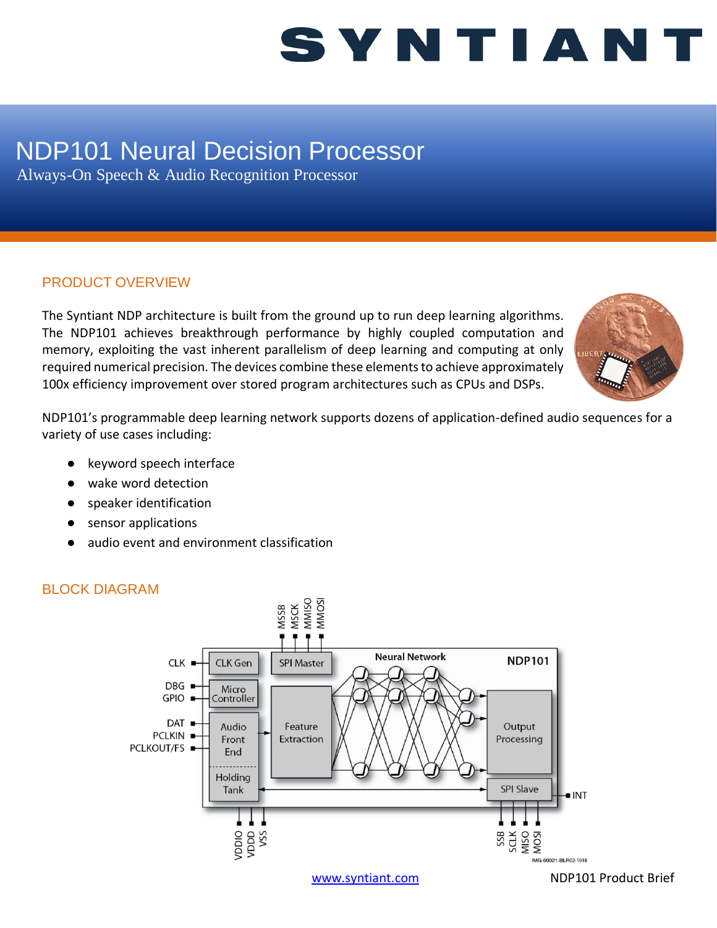## SYNTIANT

### NDP101 Neural Decision Processor

Always-On Speech & Audio Recognition Processor

#### PRODUCT OVERVIEW

The Syntiant NDP architecture is built from the ground up to run deep learning algorithms. The NDP101 achieves breakthrough performance by highly coupled computation and memory, exploiting the vast inherent parallelism of deep learning and computing at only required numerical precision. The devices combine these elements to achieve approximately 100x efficiency improvement over stored program architectures such as CPUs and DSPs.



NDP101's programmable deep learning network supports dozens of application-defined audio sequences for a variety of use cases including:

- keyword speech interface
- wake word detection
- speaker identification
- sensor applications
- audio event and environment classification



### BLOCK DIAGRAM

[www.syntiant.com](http://www.syntiant.com/) NDP101 Product Brief